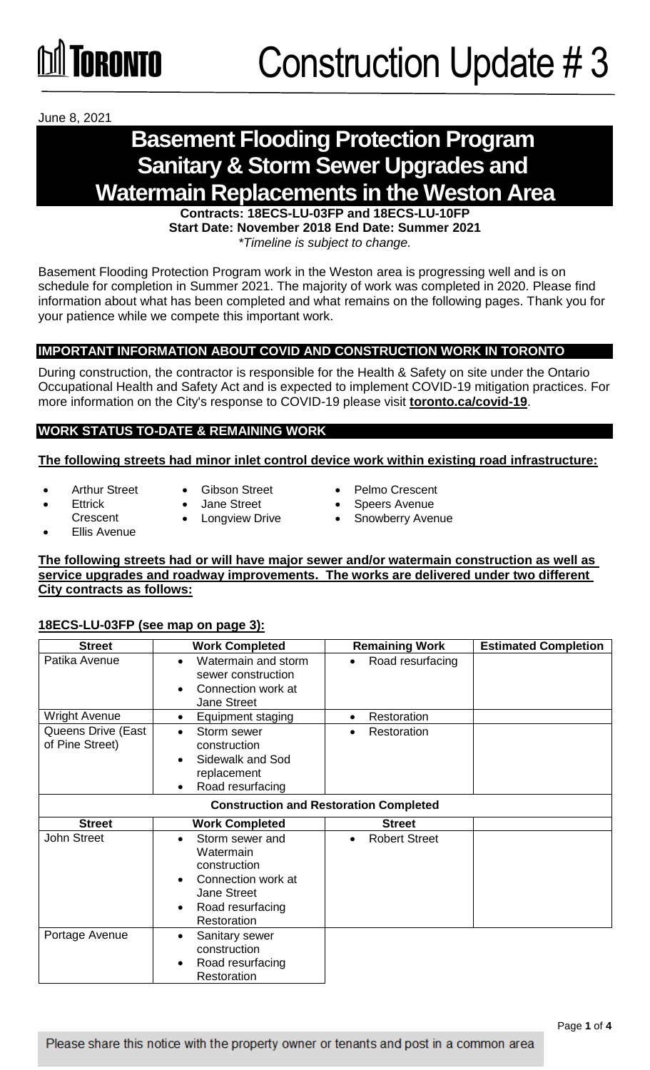

June 8, 2021

## **Basement Flooding Protection Program Sanitary & Storm Sewer Upgrades and Watermain Replacements in the Weston Area**

**Contracts: 18ECS-LU-03FP and 18ECS-LU-10FP Start Date: November 2018 End Date: Summer 2021**  *\*Timeline is subject to change.*

Basement Flooding Protection Program work in the Weston area is progressing well and is on schedule for completion in Summer 2021. The majority of work was completed in 2020. Please find information about what has been completed and what remains on the following pages. Thank you for your patience while we compete this important work.

## **IMPORTANT INFORMATION ABOUT COVID AND CONSTRUCTION WORK IN TORONTO**

During construction, the contractor is responsible for the Health & Safety on site under the Ontario Occupational Health and Safety Act and is expected to implement COVID-19 mitigation practices. For more information on the City's response to COVID-19 please visit **[toronto.ca/covid-19](http://www.toronto.ca/covid-19)**.

## **WORK STATUS TO-DATE & REMAINING WORK**

### **The following streets had minor inlet control device work within existing road infrastructure:**

- 
- Arthur Street  $\bullet$  Gibson Street  $\bullet$  Pelmo Crescent
	-
- 
- 
- 
- Ettrick Jane Street Speers Avenue
- Crescent Longview Drive Snowberry Avenue
- 

Ellis Avenue

### **The following streets had or will have major sewer and/or watermain construction as well as service upgrades and roadway improvements. The works are delivered under two different City contracts as follows:**

### **18ECS-LU-03FP (see map on page 3):**

| <b>Street</b>                                 | <b>Work Completed</b>                                                                                                                                              | <b>Remaining Work</b>             | <b>Estimated Completion</b> |
|-----------------------------------------------|--------------------------------------------------------------------------------------------------------------------------------------------------------------------|-----------------------------------|-----------------------------|
| Patika Avenue                                 | Watermain and storm<br>$\bullet$<br>sewer construction<br>Connection work at<br>$\bullet$<br><b>Jane Street</b>                                                    | Road resurfacing<br>$\bullet$     |                             |
| <b>Wright Avenue</b>                          | Equipment staging<br>$\bullet$                                                                                                                                     | Restoration<br>$\bullet$          |                             |
| Queens Drive (East<br>of Pine Street)         | Storm sewer<br>$\bullet$<br>construction<br>Sidewalk and Sod<br>$\bullet$<br>replacement<br>Road resurfacing<br>$\bullet$                                          | Restoration<br>$\bullet$          |                             |
| <b>Construction and Restoration Completed</b> |                                                                                                                                                                    |                                   |                             |
| <b>Street</b>                                 | <b>Work Completed</b>                                                                                                                                              | <b>Street</b>                     |                             |
| <b>John Street</b>                            | Storm sewer and<br>$\bullet$<br>Watermain<br>construction<br>Connection work at<br>$\bullet$<br><b>Jane Street</b><br>Road resurfacing<br>$\bullet$<br>Restoration | <b>Robert Street</b><br>$\bullet$ |                             |
| Portage Avenue                                | Sanitary sewer<br>٠<br>construction<br>Road resurfacing<br>$\bullet$<br>Restoration                                                                                |                                   |                             |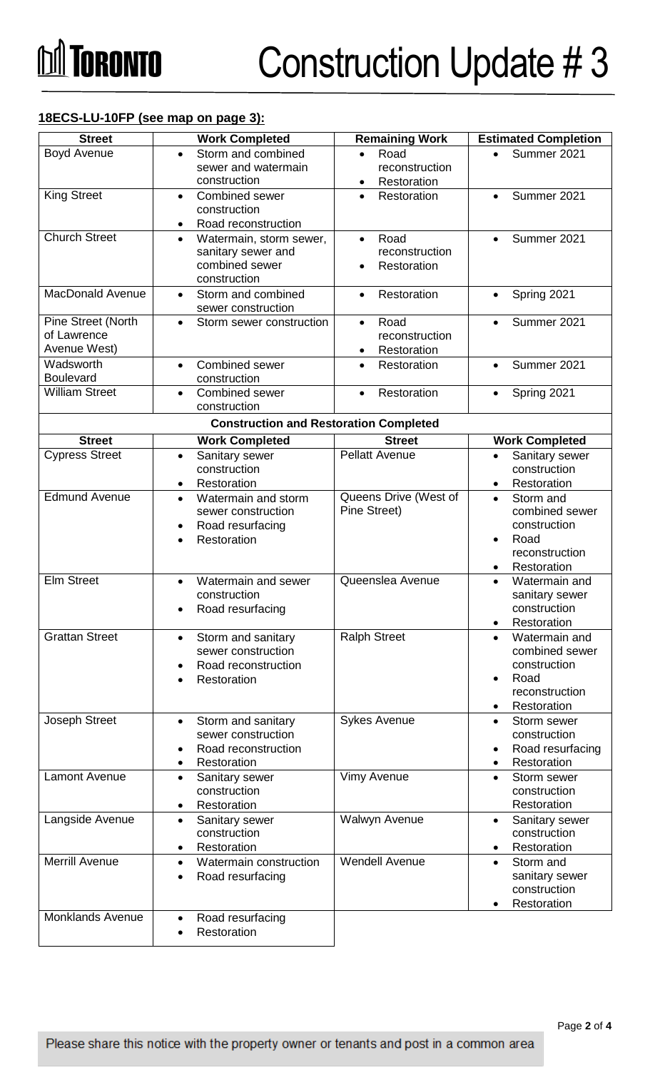## **18ECS-LU-10FP (see map on page 3):**

| <b>Street</b>                                     | <b>Work Completed</b>                                                                                               | <b>Remaining Work</b>                                           | <b>Estimated Completion</b>                                                                                                 |  |
|---------------------------------------------------|---------------------------------------------------------------------------------------------------------------------|-----------------------------------------------------------------|-----------------------------------------------------------------------------------------------------------------------------|--|
| <b>Boyd Avenue</b>                                | Storm and combined<br>$\bullet$<br>sewer and watermain<br>construction                                              | Road<br>$\bullet$<br>reconstruction<br>Restoration<br>$\bullet$ | Summer 2021                                                                                                                 |  |
| <b>King Street</b>                                | Combined sewer<br>$\bullet$<br>construction<br>Road reconstruction<br>$\bullet$                                     | Restoration<br>$\bullet$                                        | Summer 2021<br>$\bullet$                                                                                                    |  |
| <b>Church Street</b>                              | Watermain, storm sewer,<br>$\bullet$<br>sanitary sewer and<br>combined sewer<br>construction                        | Road<br>$\bullet$<br>reconstruction<br>Restoration              | Summer 2021<br>$\bullet$                                                                                                    |  |
| <b>MacDonald Avenue</b>                           | Storm and combined<br>$\bullet$<br>sewer construction                                                               | Restoration<br>$\bullet$                                        | Spring 2021<br>$\bullet$                                                                                                    |  |
| Pine Street (North<br>of Lawrence<br>Avenue West) | Storm sewer construction<br>$\bullet$                                                                               | Road<br>$\bullet$<br>reconstruction<br>Restoration              | Summer 2021<br>$\bullet$                                                                                                    |  |
| Wadsworth<br><b>Boulevard</b>                     | Combined sewer<br>$\bullet$<br>construction                                                                         | Restoration<br>$\bullet$                                        | Summer 2021<br>$\bullet$                                                                                                    |  |
| <b>William Street</b>                             | <b>Combined sewer</b><br>$\bullet$<br>construction                                                                  | Restoration<br>$\bullet$                                        | Spring 2021<br>$\bullet$                                                                                                    |  |
| <b>Construction and Restoration Completed</b>     |                                                                                                                     |                                                                 |                                                                                                                             |  |
| <b>Street</b>                                     | <b>Work Completed</b>                                                                                               | <b>Street</b>                                                   | <b>Work Completed</b>                                                                                                       |  |
| <b>Cypress Street</b>                             | Sanitary sewer<br>$\bullet$<br>construction<br>Restoration<br>$\bullet$                                             | <b>Pellatt Avenue</b>                                           | Sanitary sewer<br>$\bullet$<br>construction<br>Restoration<br>$\bullet$                                                     |  |
| <b>Edmund Avenue</b>                              | Watermain and storm<br>$\bullet$<br>sewer construction<br>Road resurfacing<br>$\bullet$<br>Restoration<br>$\bullet$ | Queens Drive (West of<br>Pine Street)                           | Storm and<br>$\bullet$<br>combined sewer<br>construction<br>Road<br>$\bullet$<br>reconstruction<br>Restoration<br>$\bullet$ |  |
| <b>Elm Street</b>                                 | Watermain and sewer<br>$\bullet$<br>construction<br>Road resurfacing                                                | Queenslea Avenue                                                | Watermain and<br>$\bullet$<br>sanitary sewer<br>construction<br>Restoration<br>$\bullet$                                    |  |
| <b>Grattan Street</b>                             | Storm and sanitary<br>$\bullet$<br>sewer construction<br>Road reconstruction<br>Restoration                         | <b>Ralph Street</b>                                             | Watermain and<br>$\bullet$<br>combined sewer<br>construction<br>Road<br>$\bullet$<br>reconstruction<br>Restoration          |  |
| Joseph Street                                     | Storm and sanitary<br>$\bullet$<br>sewer construction<br>Road reconstruction<br>Restoration<br>٠                    | <b>Sykes Avenue</b>                                             | Storm sewer<br>$\bullet$<br>construction<br>Road resurfacing<br>$\bullet$<br>Restoration<br>$\bullet$                       |  |
| Lamont Avenue                                     | Sanitary sewer<br>$\bullet$<br>construction<br>Restoration<br>$\bullet$                                             | <b>Vimy Avenue</b>                                              | Storm sewer<br>$\bullet$<br>construction<br>Restoration                                                                     |  |
| Langside Avenue                                   | Sanitary sewer<br>$\bullet$<br>construction<br>Restoration<br>٠                                                     | Walwyn Avenue                                                   | Sanitary sewer<br>$\bullet$<br>construction<br>Restoration<br>٠                                                             |  |
| <b>Merrill Avenue</b>                             | Watermain construction<br>$\bullet$<br>Road resurfacing                                                             | <b>Wendell Avenue</b>                                           | Storm and<br>$\bullet$<br>sanitary sewer<br>construction<br>Restoration                                                     |  |
| <b>Monklands Avenue</b>                           | Road resurfacing<br>$\bullet$<br>Restoration<br>$\bullet$                                                           |                                                                 |                                                                                                                             |  |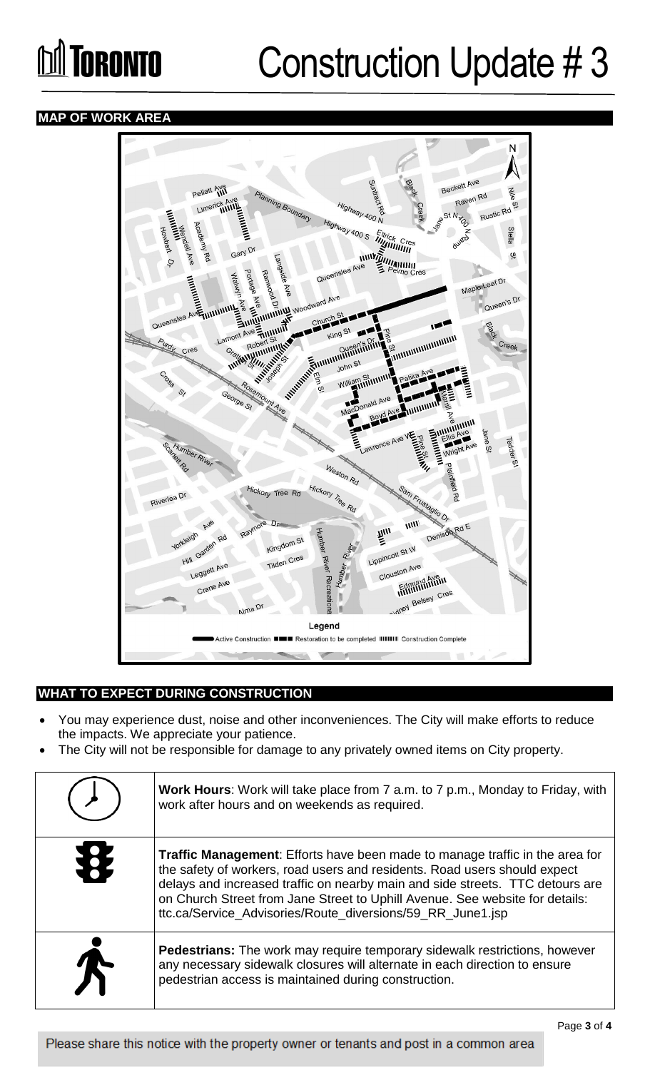## **Influence Construction Update #3**

## **MAP OF WORK AREA**



## **WHAT TO EXPECT DURING CONSTRUCTION**

- You may experience dust, noise and other inconveniences. The City will make efforts to reduce the impacts. We appreciate your patience.
- The City will not be responsible for damage to any privately owned items on City property.

|   | <b>Work Hours:</b> Work will take place from 7 a.m. to 7 p.m., Monday to Friday, with<br>work after hours and on weekends as required.                                                                                                                                                                                                                                                   |
|---|------------------------------------------------------------------------------------------------------------------------------------------------------------------------------------------------------------------------------------------------------------------------------------------------------------------------------------------------------------------------------------------|
| X | Traffic Management: Efforts have been made to manage traffic in the area for<br>the safety of workers, road users and residents. Road users should expect<br>delays and increased traffic on nearby main and side streets. TTC detours are<br>on Church Street from Jane Street to Uphill Avenue. See website for details:<br>ttc.ca/Service_Advisories/Route_diversions/59_RR_June1.jsp |
|   | <b>Pedestrians:</b> The work may require temporary sidewalk restrictions, however<br>any necessary sidewalk closures will alternate in each direction to ensure<br>pedestrian access is maintained during construction.                                                                                                                                                                  |